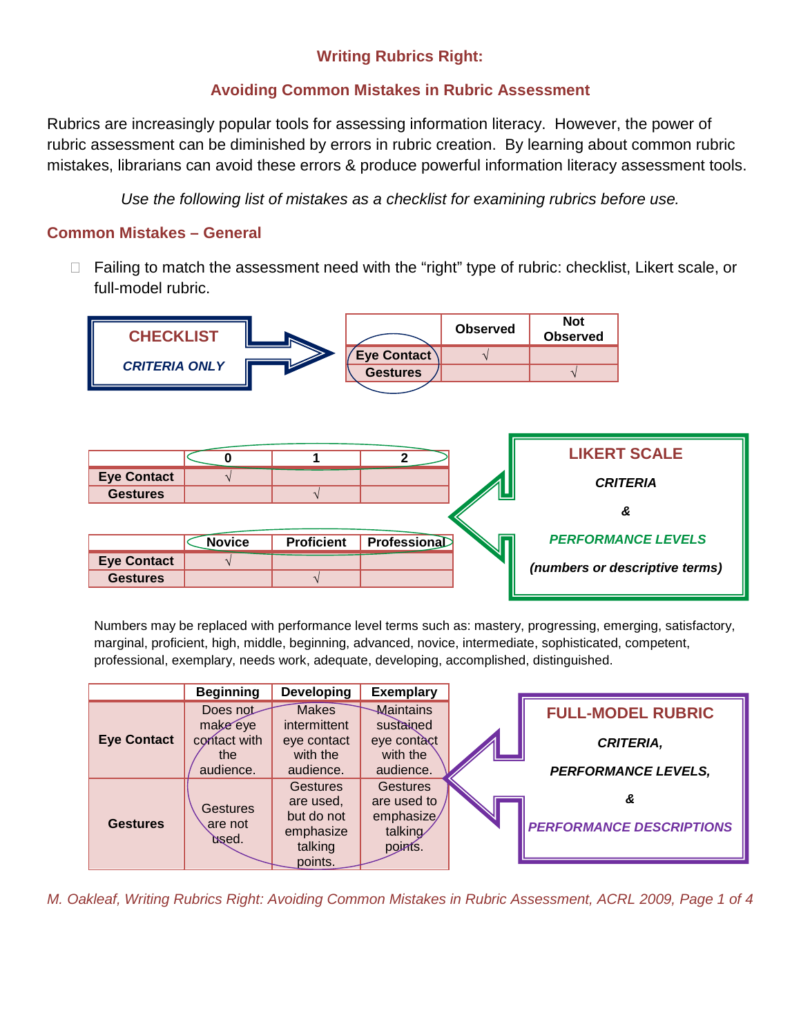# **Writing Rubrics Right:**

## **Avoiding Common Mistakes in Rubric Assessment**

Rubrics are increasingly popular tools for assessing information literacy. However, the power of rubric assessment can be diminished by errors in rubric creation. By learning about common rubric mistakes, librarians can avoid these errors & produce powerful information literacy assessment tools.

*Use the following list of mistakes as a checklist for examining rubrics before use.*

## **Common Mistakes – General**

□ Failing to match the assessment need with the "right" type of rubric: checklist, Likert scale, or full-model rubric.



Numbers may be replaced with performance level terms such as: mastery, progressing, emerging, satisfactory, marginal, proficient, high, middle, beginning, advanced, novice, intermediate, sophisticated, competent, professional, exemplary, needs work, adequate, developing, accomplished, distinguished.

|                    | <b>Beginning</b>                    | <b>Developing</b>                                                  | <b>Exemplary</b>                                                   |                                 |
|--------------------|-------------------------------------|--------------------------------------------------------------------|--------------------------------------------------------------------|---------------------------------|
|                    | Does not                            | <b>Makes</b>                                                       | Maintains                                                          | <b>FULL-MODEL RUBRIC</b>        |
| <b>Eye Contact</b> | make eye<br>contact with<br>the     | intermittent<br>eye contact<br>with the                            | sustained<br>eye contact<br>with the                               | <b>CRITERIA,</b>                |
|                    | audience.                           | audience.                                                          | audience.                                                          | <b>PERFORMANCE LEVELS,</b>      |
| <b>Gestures</b>    | <b>Gestures</b><br>are not<br>bsed. | <b>Gestures</b><br>are used.<br>but do not<br>emphasize<br>talking | <b>Gestures</b><br>are used to<br>emphasize/<br>talking<br>points. | <b>PERFORMANCE DESCRIPTIONS</b> |
|                    |                                     | points.                                                            |                                                                    |                                 |

*M. Oakleaf, Writing Rubrics Right: Avoiding Common Mistakes in Rubric Assessment, ACRL 2009, Page 1 of 4*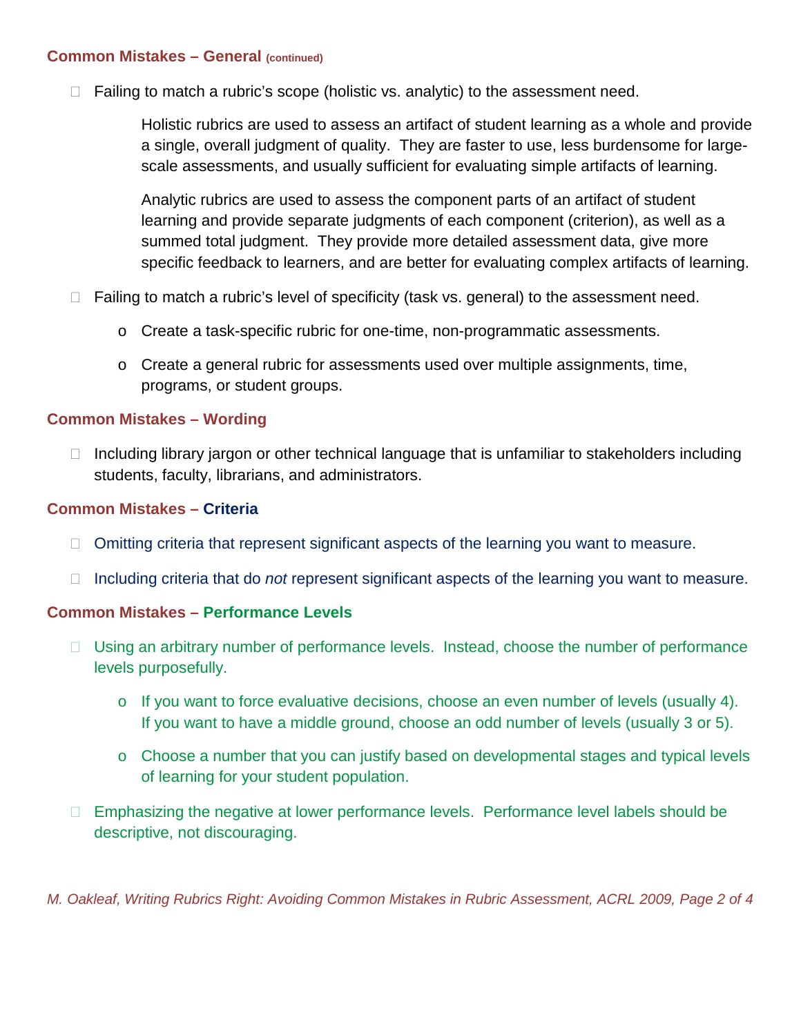#### **Common Mistakes – General (continued)**

 $\Box$  Failing to match a rubric's scope (holistic vs. analytic) to the assessment need.

Holistic rubrics are used to assess an artifact of student learning as a whole and provide a single, overall judgment of quality. They are faster to use, less burdensome for largescale assessments, and usually sufficient for evaluating simple artifacts of learning.

Analytic rubrics are used to assess the component parts of an artifact of student learning and provide separate judgments of each component (criterion), as well as a summed total judgment. They provide more detailed assessment data, give more specific feedback to learners, and are better for evaluating complex artifacts of learning.

- $\Box$  Failing to match a rubric's level of specificity (task vs. general) to the assessment need.
	- o Create a task-specific rubric for one-time, non-programmatic assessments.
	- $\circ$  Create a general rubric for assessments used over multiple assignments, time, programs, or student groups.

#### **Common Mistakes – Wording**

 $\Box$  Including library jargon or other technical language that is unfamiliar to stakeholders including students, faculty, librarians, and administrators.

#### **Common Mistakes – Criteria**

- $\Box$  Omitting criteria that represent significant aspects of the learning you want to measure.
- $\Box$  Including criteria that do *not* represent significant aspects of the learning you want to measure.

#### **Common Mistakes – Performance Levels**

- □ Using an arbitrary number of performance levels. Instead, choose the number of performance levels purposefully.
	- $\circ$  If you want to force evaluative decisions, choose an even number of levels (usually 4). If you want to have a middle ground, choose an odd number of levels (usually 3 or 5).
	- o Choose a number that you can justify based on developmental stages and typical levels of learning for your student population.
- □ Emphasizing the negative at lower performance levels. Performance level labels should be descriptive, not discouraging.

*M. Oakleaf, Writing Rubrics Right: Avoiding Common Mistakes in Rubric Assessment, ACRL 2009, Page 2 of 4*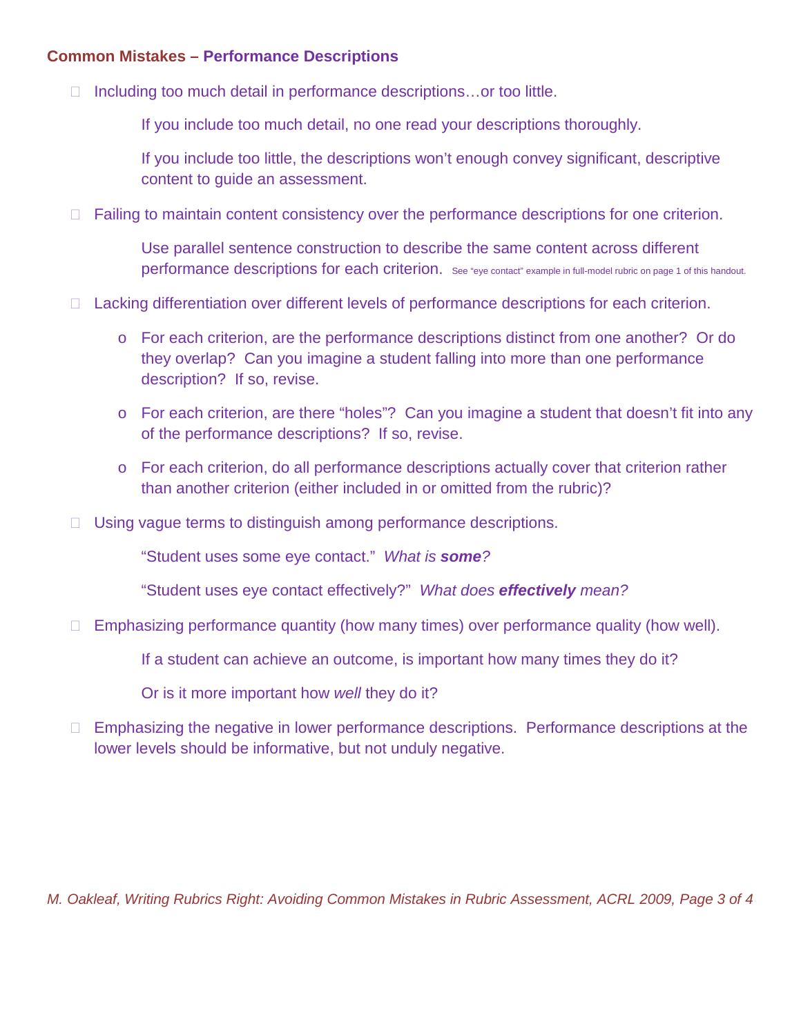## **Common Mistakes – Performance Descriptions**

 $\Box$  Including too much detail in performance descriptions...or too little.

If you include too much detail, no one read your descriptions thoroughly.

If you include too little, the descriptions won't enough convey significant, descriptive content to guide an assessment.

□ Failing to maintain content consistency over the performance descriptions for one criterion.

Use parallel sentence construction to describe the same content across different performance descriptions for each criterion. See "eye contact" example in full-model rubric on page 1 of this handout.

- □ Lacking differentiation over different levels of performance descriptions for each criterion.
	- o For each criterion, are the performance descriptions distinct from one another? Or do they overlap? Can you imagine a student falling into more than one performance description? If so, revise.
	- o For each criterion, are there "holes"? Can you imagine a student that doesn't fit into any of the performance descriptions? If so, revise.
	- o For each criterion, do all performance descriptions actually cover that criterion rather than another criterion (either included in or omitted from the rubric)?
- □ Using vague terms to distinguish among performance descriptions.

"Student uses some eye contact." *What is some?*

"Student uses eye contact effectively?" *What does effectively mean?*

 $\Box$  Emphasizing performance quantity (how many times) over performance quality (how well).

If a student can achieve an outcome, is important how many times they do it?

Or is it more important how *well* they do it?

□ Emphasizing the negative in lower performance descriptions. Performance descriptions at the lower levels should be informative, but not unduly negative.

*M. Oakleaf, Writing Rubrics Right: Avoiding Common Mistakes in Rubric Assessment, ACRL 2009, Page 3 of 4*